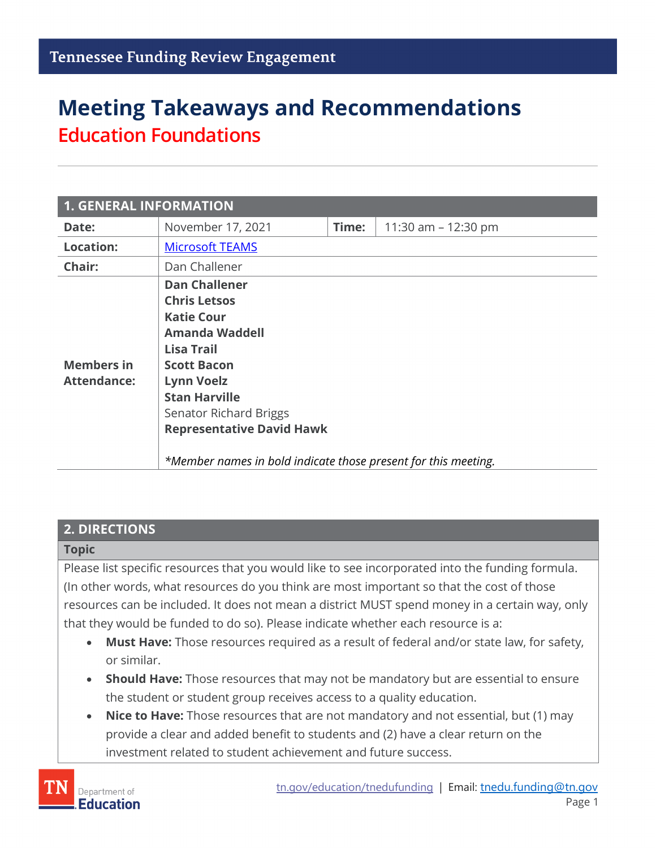# **Meeting Takeaways and Recommendations Education Foundations**

| <b>1. GENERAL INFORMATION</b>    |                                                                                                                                                                                                                                                                                                                          |       |                       |
|----------------------------------|--------------------------------------------------------------------------------------------------------------------------------------------------------------------------------------------------------------------------------------------------------------------------------------------------------------------------|-------|-----------------------|
| Date:                            | November 17, 2021                                                                                                                                                                                                                                                                                                        | Time: | 11:30 am $-$ 12:30 pm |
| <b>Location:</b>                 | <b>Microsoft TEAMS</b>                                                                                                                                                                                                                                                                                                   |       |                       |
| Chair:                           | Dan Challener                                                                                                                                                                                                                                                                                                            |       |                       |
| <b>Members in</b><br>Attendance: | <b>Dan Challener</b><br><b>Chris Letsos</b><br><b>Katie Cour</b><br><b>Amanda Waddell</b><br><b>Lisa Trail</b><br><b>Scott Bacon</b><br><b>Lynn Voelz</b><br><b>Stan Harville</b><br><b>Senator Richard Briggs</b><br><b>Representative David Hawk</b><br>*Member names in bold indicate those present for this meeting. |       |                       |

### **2. DIRECTIONS**

#### **Topic**

Please list specific resources that you would like to see incorporated into the funding formula. (In other words, what resources do you think are most important so that the cost of those resources can be included. It does not mean a district MUST spend money in a certain way, only that they would be funded to do so). Please indicate whether each resource is a:

- **Must Have:** Those resources required as a result of federal and/or state law, for safety, or similar.
- **Should Have:** Those resources that may not be mandatory but are essential to ensure the student or student group receives access to a quality education.
- **Nice to Have:** Those resources that are not mandatory and not essential, but (1) may provide a clear and added benefit to students and (2) have a clear return on the investment related to student achievement and future success.

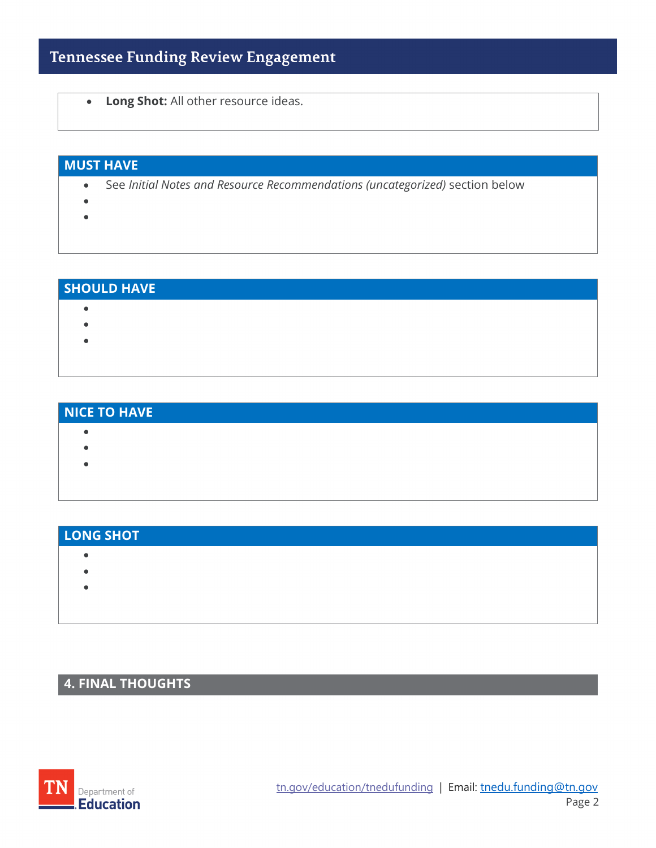## **Tennessee Funding Review Engagement**

• **Long Shot:** All other resource ideas.

#### **MUST HAVE**

- See *Initial Notes and Resource Recommendations (uncategorized)* section below
- •
- •

## **SHOULD HAVE** • • •

## **NICE TO HAVE** •

- •
- •
- 

## **LONG SHOT**

- •
- •
- 
- •

## **4. FINAL THOUGHTS**

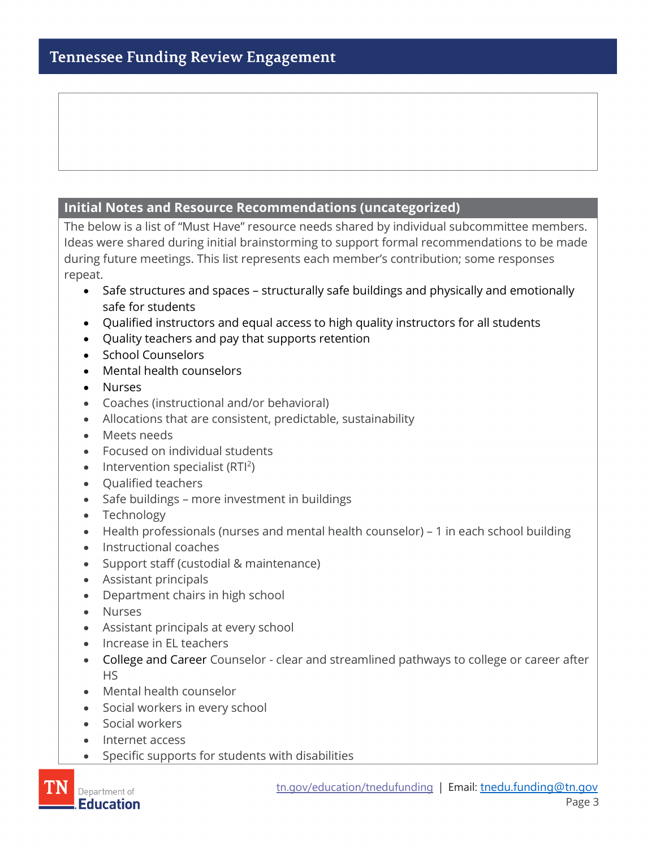## **Initial Notes and Resource Recommendations (uncategorized)**

The below is a list of "Must Have" resource needs shared by individual subcommittee members. Ideas were shared during initial brainstorming to support formal recommendations to be made during future meetings. This list represents each member's contribution; some responses repeat.

- Safe structures and spaces structurally safe buildings and physically and emotionally safe for students
- Qualified instructors and equal access to high quality instructors for all students
- Quality teachers and pay that supports retention
- School Counselors
- Mental health counselors
- Nurses
- Coaches (instructional and/or behavioral)
- Allocations that are consistent, predictable, sustainability
- Meets needs
- Focused on individual students
- $\bullet$  Intervention specialist (RTI<sup>2</sup>)
- Qualified teachers
- Safe buildings more investment in buildings
- Technology
- Health professionals (nurses and mental health counselor) 1 in each school building
- Instructional coaches
- Support staff (custodial & maintenance)
- Assistant principals
- Department chairs in high school
- Nurses
- Assistant principals at every school
- Increase in EL teachers
- College and Career Counselor clear and streamlined pathways to college or career after  $H<sub>S</sub>$
- Mental health counselor
- Social workers in every school
- Social workers
- Internet access
- Specific supports for students with disabilities